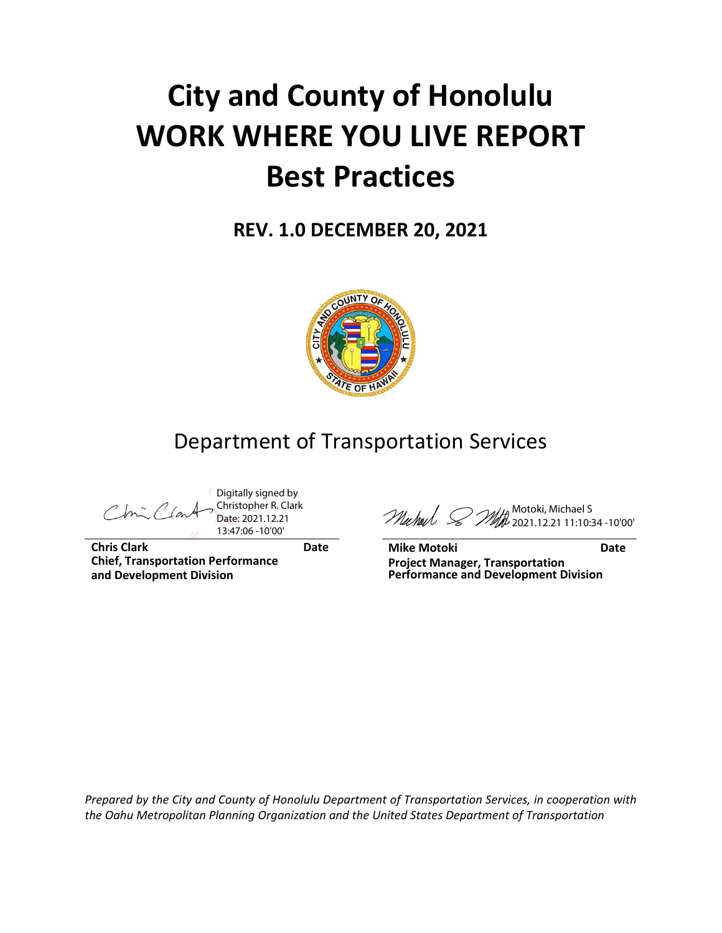# **City and County of Honolulu WORK WHERE YOU LIVE REPORT Best Practices**

**REV. 1.0 DECEMBER 20, 2021**



# Department of Transportation Services

Digitally signed by Christopher R. Clark Date: 2021.12.21 13:47:06 -10'00'

**Chris Clark Date Chief, Transportation Performance and Development Division**

Motoki, Michael S 2021.12.21 11:10:34 -10'00'

**Mike Motoki Date Project Manager, Transportation Performance and Development Division**

*Prepared by the City and County of Honolulu Department of Transportation Services, in cooperation with the Oahu Metropolitan Planning Organization and the United States Department of Transportation*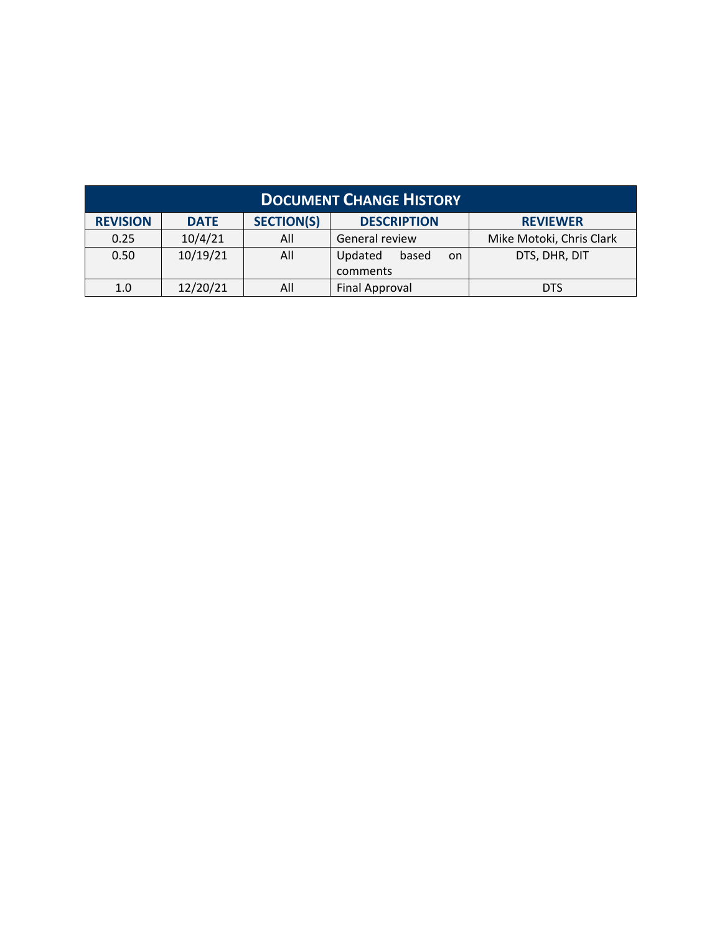| <b>DOCUMENT CHANGE HISTORY</b> |             |                   |                                    |                          |  |  |
|--------------------------------|-------------|-------------------|------------------------------------|--------------------------|--|--|
| <b>REVISION</b>                | <b>DATE</b> | <b>SECTION(S)</b> | <b>DESCRIPTION</b>                 | <b>REVIEWER</b>          |  |  |
| 0.25                           | 10/4/21     | All               | General review                     | Mike Motoki, Chris Clark |  |  |
| 0.50                           | 10/19/21    | All               | Updated<br>based<br>on<br>comments | DTS, DHR, DIT            |  |  |
| 1.0                            | 12/20/21    | All               | Final Approval                     | <b>DTS</b>               |  |  |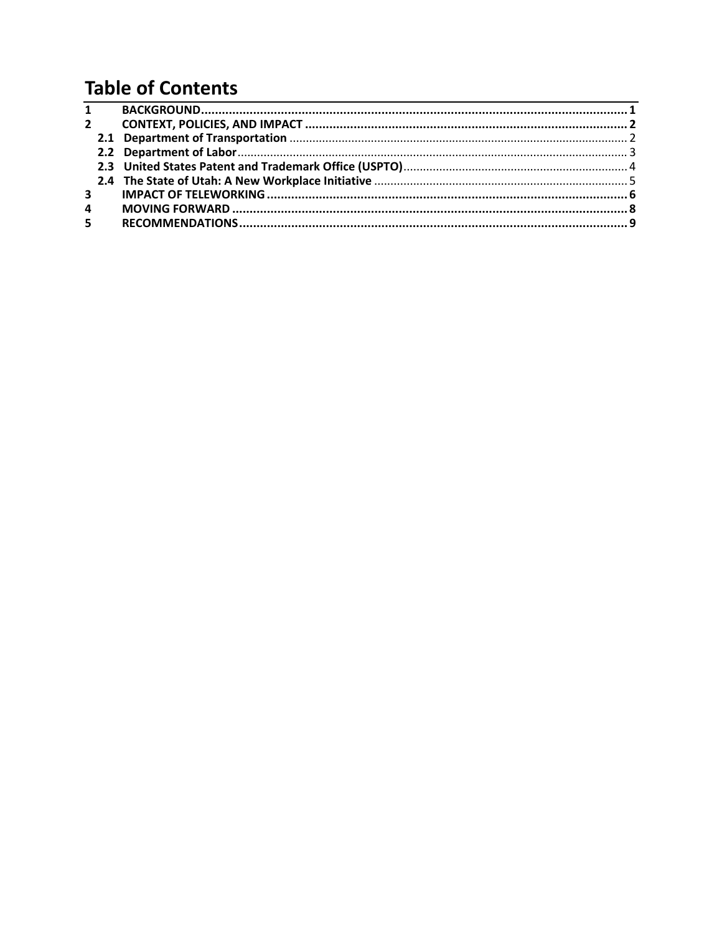# **Table of Contents**

|                | $\overline{1}$ |  |
|----------------|----------------|--|
| $\mathbf{2}$   |                |  |
|                |                |  |
|                |                |  |
|                |                |  |
|                |                |  |
| 3 <sup>7</sup> |                |  |
| $\overline{4}$ |                |  |
| 5 <sub>1</sub> |                |  |
|                |                |  |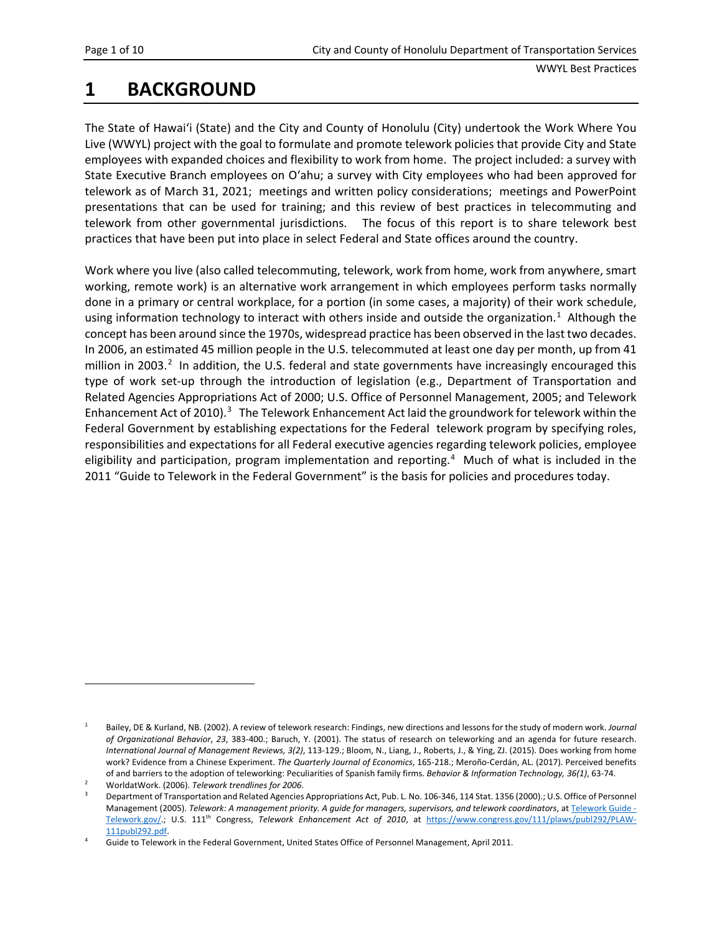### <span id="page-4-0"></span>**1 BACKGROUND**

The State of Hawai'i (State) and the City and County of Honolulu (City) undertook the Work Where You Live (WWYL) project with the goal to formulate and promote telework policies that provide City and State employees with expanded choices and flexibility to work from home. The project included: a survey with State Executive Branch employees on O'ahu; a survey with City employees who had been approved for telework as of March 31, 2021; meetings and written policy considerations; meetings and PowerPoint presentations that can be used for training; and this review of best practices in telecommuting and telework from other governmental jurisdictions. The focus of this report is to share telework best practices that have been put into place in select Federal and State offices around the country.

Work where you live (also called telecommuting, telework, work from home, work from anywhere, smart working, remote work) is an alternative work arrangement in which employees perform tasks normally done in a primary or central workplace, for a portion (in some cases, a majority) of their work schedule, using information technology to interact with others inside and outside the organization.<sup>[1](#page-4-1)</sup> Although the concept has been around since the 1970s, widespread practice has been observed in the last two decades. In 2006, an estimated 45 million people in the U.S. telecommuted at least one day per month, up from 41 million in [2](#page-4-2)003.<sup>2</sup> In addition, the U.S. federal and state governments have increasingly encouraged this type of work set-up through the introduction of legislation (e.g., Department of Transportation and Related Agencies Appropriations Act of 2000; U.S. Office of Personnel Management, 2005; and Telework Enhancement Act of 2010).<sup>[3](#page-4-3)</sup> The Telework Enhancement Act laid the groundwork for telework within the Federal Government by establishing expectations for the Federal telework program by specifying roles, responsibilities and expectations for all Federal executive agencies regarding telework policies, employee eligibility and participation, program implementation and reporting.<sup>[4](#page-4-4)</sup> Much of what is included in the 2011 "Guide to Telework in the Federal Government" is the basis for policies and procedures today.

<span id="page-4-1"></span><sup>1</sup> Bailey, DE & Kurland, NB. (2002). A review of telework research: Findings, new directions and lessons for the study of modern work. *Journal of Organizational Behavior*, *23*, 383-400.; Baruch, Y. (2001). The status of research on teleworking and an agenda for future research. *International Journal of Management Reviews, 3(2)*, 113-129.; Bloom, N., Liang, J., Roberts, J., & Ying, ZJ. (2015). Does working from home work? Evidence from a Chinese Experiment. *The Quarterly Journal of Economics*, 165-218.; Meroño-Cerdán, AL. (2017). Perceived benefits of and barriers to the adoption of teleworking: Peculiarities of Spanish family firms. *Behavior & Information Technology, 36(1)*, 63-74. 2 WorldatWork. (2006). *Telework trendlines for 2006*.

<span id="page-4-2"></span>

<span id="page-4-3"></span><sup>3</sup> Department of Transportation and Related Agencies Appropriations Act, Pub. L. No. 106-346, 114 Stat. 1356 (2000).; U.S. Office of Personnel Management (2005). Telework: A management priority. A guide for managers, supervisors, and telework coordinators, a[t Telework Guide -](https://www.telework.gov/guidance-legislation/telework-guidance/telework-guide/) [Telework.gov/](https://www.telework.gov/guidance-legislation/telework-guidance/telework-guide/).; U.S. 111th Congress, *Telework Enhancement Act of 2010*, at [https://www.congress.gov/111/plaws/publ292/PLAW-](https://www.congress.gov/111/plaws/publ292/PLAW-111publ292.pdf)[111publ292.pdf.](https://www.congress.gov/111/plaws/publ292/PLAW-111publ292.pdf)

<span id="page-4-4"></span>Guide to Telework in the Federal Government, United States Office of Personnel Management, April 2011.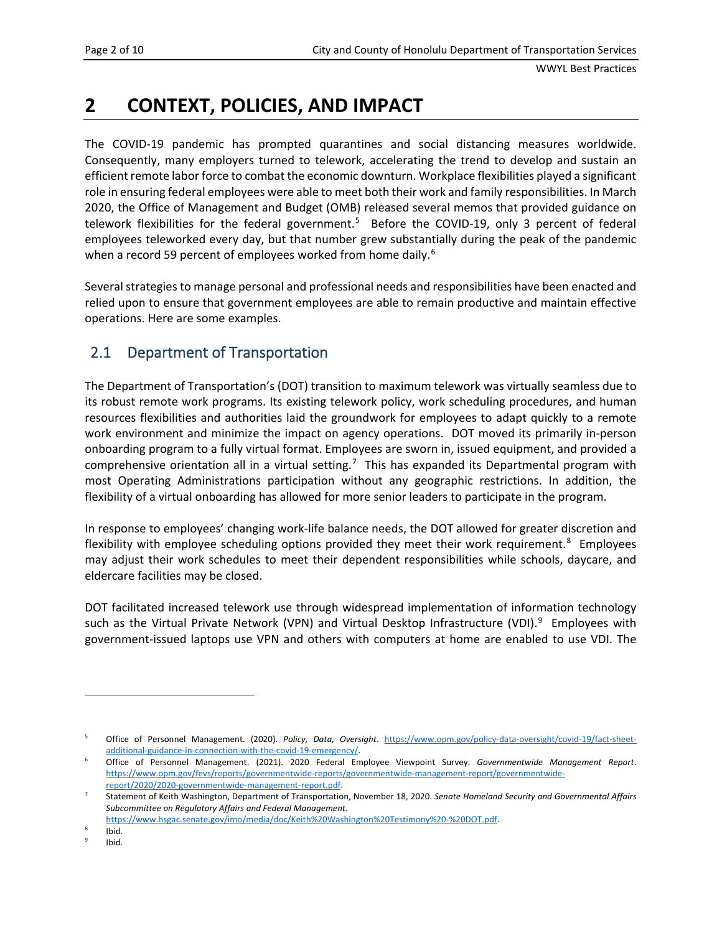# <span id="page-5-0"></span>**2 CONTEXT, POLICIES, AND IMPACT**

The COVID-19 pandemic has prompted quarantines and social distancing measures worldwide. Consequently, many employers turned to telework, accelerating the trend to develop and sustain an efficient remote labor force to combat the economic downturn. Workplace flexibilities played a significant role in ensuring federal employees were able to meet both their work and family responsibilities. In March 2020, the Office of Management and Budget (OMB) released several memos that provided guidance on telework flexibilities for the federal government.<sup>[5](#page-5-2)</sup> Before the COVID-19, only 3 percent of federal employees teleworked every day, but that number grew substantially during the peak of the pandemic when a record 59 percent of employees worked from home daily.<sup>[6](#page-5-3)</sup>

Several strategies to manage personal and professional needs and responsibilities have been enacted and relied upon to ensure that government employees are able to remain productive and maintain effective operations. Here are some examples.

#### <span id="page-5-1"></span>2.1 Department of Transportation

The Department of Transportation's (DOT) transition to maximum telework was virtually seamless due to its robust remote work programs. Its existing telework policy, work scheduling procedures, and human resources flexibilities and authorities laid the groundwork for employees to adapt quickly to a remote work environment and minimize the impact on agency operations. DOT moved its primarily in-person onboarding program to a fully virtual format. Employees are sworn in, issued equipment, and provided a comprehensive orientation all in a virtual setting.<sup>[7](#page-5-4)</sup> This has expanded its Departmental program with most Operating Administrations participation without any geographic restrictions. In addition, the flexibility of a virtual onboarding has allowed for more senior leaders to participate in the program.

In response to employees' changing work-life balance needs, the DOT allowed for greater discretion and flexibility with employee scheduling options provided they meet their work requirement.<sup>[8](#page-5-5)</sup> Employees may adjust their work schedules to meet their dependent responsibilities while schools, daycare, and eldercare facilities may be closed.

DOT facilitated increased telework use through widespread implementation of information technology such as the Virtual Private Network (VPN) and Virtual Desktop Infrastructure (VDI).<sup>[9](#page-5-6)</sup> Employees with government-issued laptops use VPN and others with computers at home are enabled to use VDI. The

<span id="page-5-2"></span><sup>5</sup> Office of Personnel Management. (2020). *Policy, Data, Oversight*. [https://www.opm.gov/policy-data-oversight/covid-19/fact-sheet](https://www.opm.gov/policy-data-oversight/covid-19/fact-sheet-additional-guidance-in-connection-with-the-covid-19-emergency/)[additional-guidance-in-connection-with-the-covid-19-emergency/.](https://www.opm.gov/policy-data-oversight/covid-19/fact-sheet-additional-guidance-in-connection-with-the-covid-19-emergency/)

<span id="page-5-3"></span><sup>6</sup> Office of Personnel Management. (2021). 2020 Federal Employee Viewpoint Survey. *Governmentwide Management Report*. [https://www.opm.gov/fevs/reports/governmentwide-reports/governmentwide-management-report/governmentwide](https://www.opm.gov/fevs/reports/governmentwide-reports/governmentwide-management-report/governmentwide-report/2020/2020-governmentwide-management-report.pdf)[report/2020/2020-governmentwide-management-report.pdf.](https://www.opm.gov/fevs/reports/governmentwide-reports/governmentwide-management-report/governmentwide-report/2020/2020-governmentwide-management-report.pdf)

<span id="page-5-4"></span><sup>7</sup> Statement of Keith Washington, Department of Transportation, November 18, 2020. *Senate Homeland Security and Governmental Affairs Subcommittee on Regulatory Affairs and Federal Management*.

[https://www.hsgac.senate.gov/imo/media/doc/Keith%20Washington%20Testimony%20-%20DOT.pdf.](https://www.hsgac.senate.gov/imo/media/doc/Keith%20Washington%20Testimony%20-%20DOT.pdf)

<span id="page-5-6"></span><span id="page-5-5"></span>Ibid.

Ibid.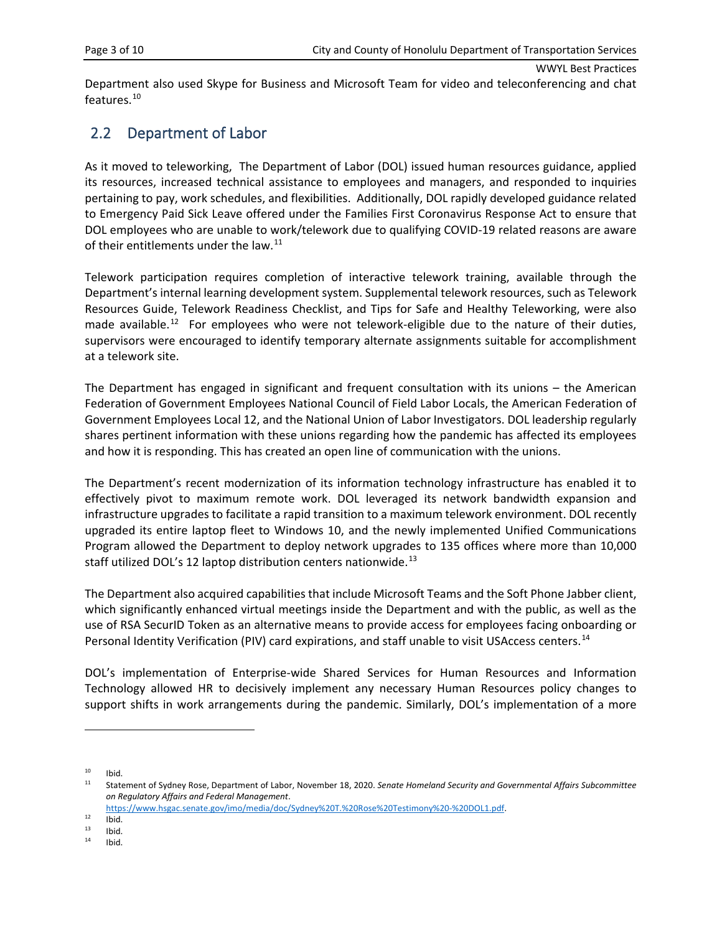Department also used Skype for Business and Microsoft Team for video and teleconferencing and chat features.<sup>10</sup>

#### <span id="page-6-0"></span>2.2 Department of Labor

As it moved to teleworking, The Department of Labor (DOL) issued human resources guidance, applied its resources, increased technical assistance to employees and managers, and responded to inquiries pertaining to pay, work schedules, and flexibilities. Additionally, DOL rapidly developed guidance related to Emergency Paid Sick Leave offered under the Families First Coronavirus Response Act to ensure that DOL employees who are unable to work/telework due to qualifying COVID-19 related reasons are aware of their entitlements under the law.<sup>11</sup>

Telework participation requires completion of interactive telework training, available through the Department's internal learning development system. Supplemental telework resources, such as Telework Resources Guide, Telework Readiness Checklist, and Tips for Safe and Healthy Teleworking, were also made available.<sup>12</sup> For employees who were not telework-eligible due to the nature of their duties, supervisors were encouraged to identify temporary alternate assignments suitable for accomplishment at a telework site.

The Department has engaged in significant and frequent consultation with its unions – the American Federation of Government Employees National Council of Field Labor Locals, the American Federation of Government Employees Local 12, and the National Union of Labor Investigators. DOL leadership regularly shares pertinent information with these unions regarding how the pandemic has affected its employees and how it is responding. This has created an open line of communication with the unions.

The Department's recent modernization of its information technology infrastructure has enabled it to effectively pivot to maximum remote work. DOL leveraged its network bandwidth expansion and infrastructure upgrades to facilitate a rapid transition to a maximum telework environment. DOL recently upgraded its entire laptop fleet to Windows 10, and the newly implemented Unified Communications Program allowed the Department to deploy network upgrades to 135 offices where more than 10,000 staff utilized DOL's 12 laptop distribution centers nationwide.<sup>[13](#page-6-4)</sup>

The Department also acquired capabilities that include Microsoft Teams and the Soft Phone Jabber client, which significantly enhanced virtual meetings inside the Department and with the public, as well as the use of RSA SecurID Token as an alternative means to provide access for employees facing onboarding or Personal Identity Verification (PIV) card expirations, and staff unable to visit USAccess centers.<sup>[14](#page-6-5)</sup>

DOL's implementation of Enterprise-wide Shared Services for Human Resources and Information Technology allowed HR to decisively implement any necessary Human Resources policy changes to support shifts in work arrangements during the pandemic. Similarly, DOL's implementation of a more

<span id="page-6-1"></span> $10$  Ibid.<br> $11$  Ctate

<span id="page-6-2"></span><sup>11</sup> Statement of Sydney Rose, Department of Labor, November 18, 2020. *Senate Homeland Security and Governmental Affairs Subcommittee on Regulatory Affairs and Federal Management*.

[https://www.hsgac.senate.gov/imo/media/doc/Sydney%20T.%20Rose%20Testimony%20-%20DOL1.pdf.](https://www.hsgac.senate.gov/imo/media/doc/Sydney%20T.%20Rose%20Testimony%20-%20DOL1.pdf)

<span id="page-6-3"></span> $12$  Ibid.<br> $13$  Ibid.

<span id="page-6-5"></span><span id="page-6-4"></span> $13$  Ibid.<br> $14$  Ibid. Ibid.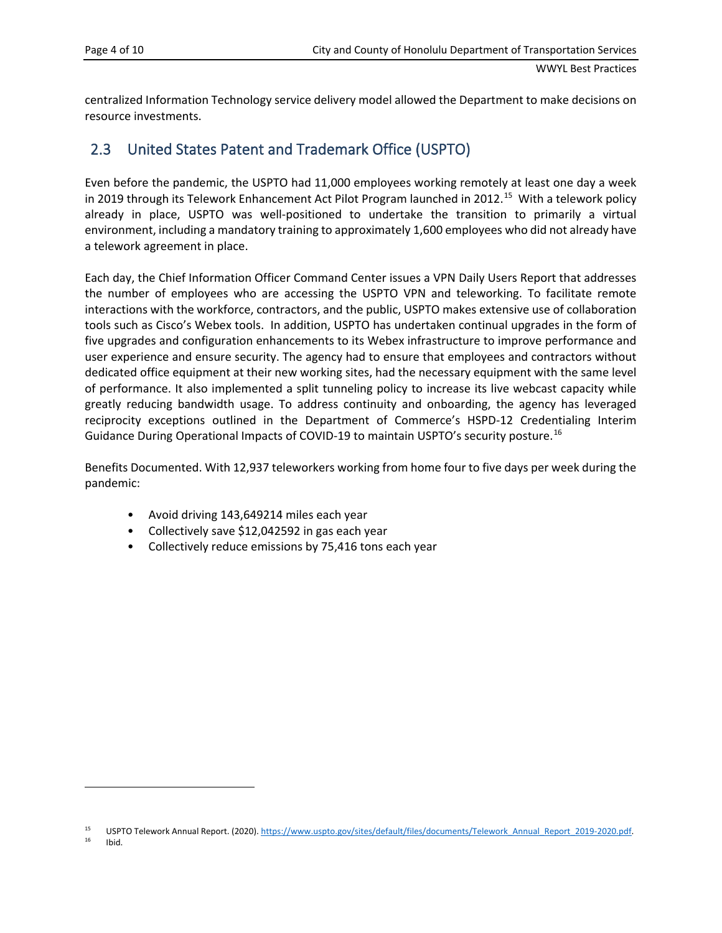centralized Information Technology service delivery model allowed the Department to make decisions on resource investments.

#### <span id="page-7-0"></span>2.3 United States Patent and Trademark Office (USPTO)

Even before the pandemic, the USPTO had 11,000 employees working remotely at least one day a week in 2019 through its Telework Enhancement Act Pilot Program launched in 2012.<sup>15</sup> With a telework policy already in place, USPTO was well-positioned to undertake the transition to primarily a virtual environment, including a mandatory training to approximately 1,600 employees who did not already have a telework agreement in place.

Each day, the Chief Information Officer Command Center issues a VPN Daily Users Report that addresses the number of employees who are accessing the USPTO VPN and teleworking. To facilitate remote interactions with the workforce, contractors, and the public, USPTO makes extensive use of collaboration tools such as Cisco's Webex tools. In addition, USPTO has undertaken continual upgrades in the form of five upgrades and configuration enhancements to its Webex infrastructure to improve performance and user experience and ensure security. The agency had to ensure that employees and contractors without dedicated office equipment at their new working sites, had the necessary equipment with the same level of performance. It also implemented a split tunneling policy to increase its live webcast capacity while greatly reducing bandwidth usage. To address continuity and onboarding, the agency has leveraged reciprocity exceptions outlined in the Department of Commerce's HSPD-12 Credentialing Interim Guidance During Operational Impacts of COVID-19 to maintain USPTO's security posture.<sup>[16](#page-7-2)</sup>

Benefits Documented. With 12,937 teleworkers working from home four to five days per week during the pandemic:

- Avoid driving 143,649214 miles each year
- Collectively save \$12,042592 in gas each year
- Collectively reduce emissions by 75,416 tons each year

<sup>16</sup> Ibid.

<span id="page-7-2"></span><span id="page-7-1"></span><sup>15</sup> USPTO Telework Annual Report. (2020)[. https://www.uspto.gov/sites/default/files/documents/Telework\\_Annual\\_Report\\_2019-2020.pdf.](https://www.uspto.gov/sites/default/files/documents/Telework_Annual_Report_2019-2020.pdf)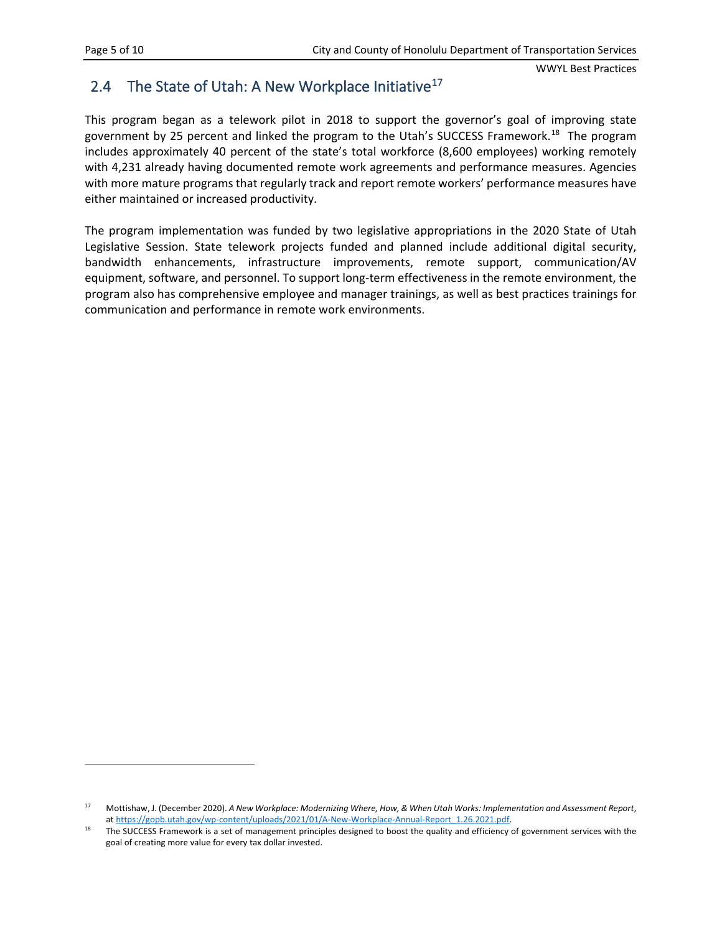#### <span id="page-8-0"></span>2.4 The State of Utah: A New Workplace Initiative<sup>17</sup>

This program began as a telework pilot in 2018 to support the governor's goal of improving state government by 25 percent and linked the program to the Utah's SUCCESS Framework.<sup>18</sup> The program includes approximately 40 percent of the state's total workforce (8,600 employees) working remotely with 4,231 already having documented remote work agreements and performance measures. Agencies with more mature programs that regularly track and report remote workers' performance measures have either maintained or increased productivity.

The program implementation was funded by two legislative appropriations in the 2020 State of Utah Legislative Session. State telework projects funded and planned include additional digital security, bandwidth enhancements, infrastructure improvements, remote support, communication/AV equipment, software, and personnel. To support long-term effectiveness in the remote environment, the program also has comprehensive employee and manager trainings, as well as best practices trainings for communication and performance in remote work environments.

<span id="page-8-1"></span><sup>17</sup> Mottishaw, J. (December 2020). *A New Workplace: Modernizing Where, How, & When Utah Works: Implementation and Assessment Report*, a[t https://gopb.utah.gov/wp-content/uploads/2021/01/A-New-Workplace-Annual-Report\\_1.26.2021.pdf.](https://gopb.utah.gov/wp-content/uploads/2021/01/A-New-Workplace-Annual-Report_1.26.2021.pdf)

<span id="page-8-2"></span><sup>&</sup>lt;sup>18</sup> The SUCCESS Framework is a set of management principles designed to boost the quality and efficiency of government services with the goal of creating more value for every tax dollar invested.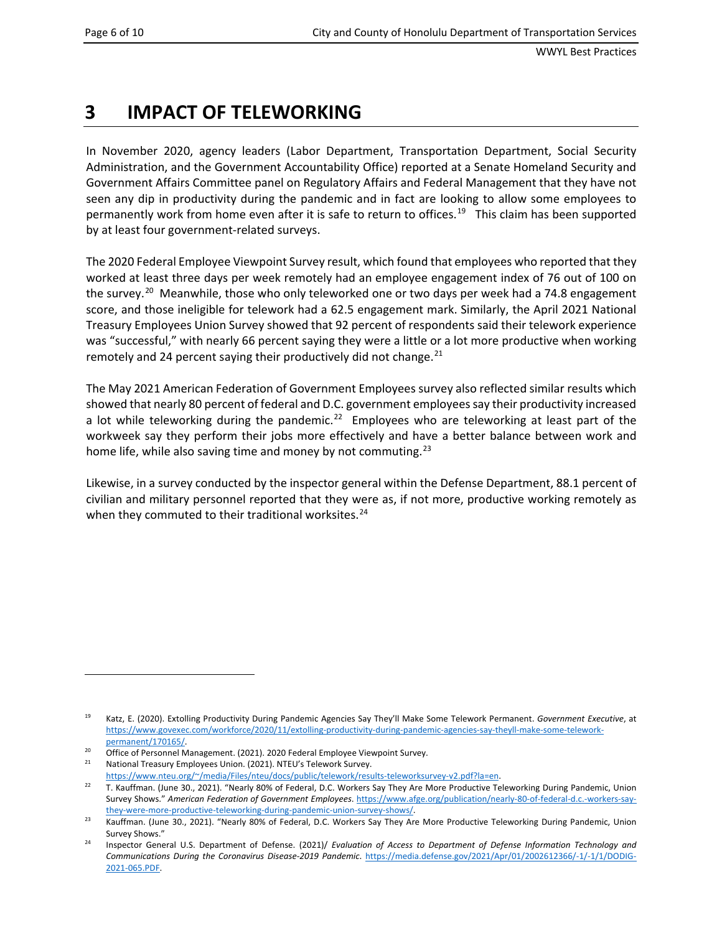# <span id="page-9-0"></span>**3 IMPACT OF TELEWORKING**

In November 2020, agency leaders (Labor Department, Transportation Department, Social Security Administration, and the Government Accountability Office) reported at a Senate Homeland Security and Government Affairs Committee panel on Regulatory Affairs and Federal Management that they have not seen any dip in productivity during the pandemic and in fact are looking to allow some employees to permanently work from home even after it is safe to return to offices.<sup>[19](#page-9-1)</sup> This claim has been supported by at least four government-related surveys.

The 2020 Federal Employee Viewpoint Survey result, which found that employees who reported that they worked at least three days per week remotely had an employee engagement index of 76 out of 100 on the survey.<sup>[20](#page-9-2)</sup> Meanwhile, those who only teleworked one or two days per week had a 74.8 engagement score, and those ineligible for telework had a 62.5 engagement mark. Similarly, the April 2021 National Treasury Employees Union Survey showed that 92 percent of respondents said their telework experience was "successful," with nearly 66 percent saying they were a little or a lot more productive when working remotely and 24 percent saying their productively did not change. $^{21}$ 

The May 2021 American Federation of Government Employees survey also reflected similar results which showed that nearly 80 percent of federal and D.C. government employees say their productivity increased a lot while teleworking during the pandemic.<sup>[22](#page-9-4)</sup> Employees who are teleworking at least part of the workweek say they perform their jobs more effectively and have a better balance between work and home life, while also saving time and money by not commuting.<sup>23</sup>

Likewise, in a survey conducted by the inspector general within the Defense Department, 88.1 percent of civilian and military personnel reported that they were as, if not more, productive working remotely as when they commuted to their traditional worksites. $24$ 

<span id="page-9-1"></span><sup>19</sup> Katz, E. (2020). Extolling Productivity During Pandemic Agencies Say They'll Make Some Telework Permanent. *Government Executive*, at [https://www.govexec.com/workforce/2020/11/extolling-productivity-during-pandemic-agencies-say-theyll-make-some-telework](https://www.govexec.com/workforce/2020/11/extolling-productivity-during-pandemic-agencies-say-theyll-make-some-telework-permanent/170165/)[permanent/170165/.](https://www.govexec.com/workforce/2020/11/extolling-productivity-during-pandemic-agencies-say-theyll-make-some-telework-permanent/170165/)

<span id="page-9-3"></span><span id="page-9-2"></span><sup>&</sup>lt;sup>20</sup> Office of Personnel Management. (2021). 2020 Federal Employee Viewpoint Survey.<br><sup>21</sup> Mational Treasury Employees Union. (2021). NTEL<sup>1</sup>'s Telework Survey.

National Treasury Employees Union. (2021). NTEU's Telework Survey.

[https://www.nteu.org/~/media/Files/nteu/docs/public/telework/results-teleworksurvey-v2.pdf?la=en.](https://www.nteu.org/%7E/media/Files/nteu/docs/public/telework/results-teleworksurvey-v2.pdf?la=en)

<span id="page-9-4"></span><sup>&</sup>lt;sup>22</sup> T. Kauffman. (June 30., 2021). "Nearly 80% of Federal, D.C. Workers Say They Are More Productive Teleworking During Pandemic, Union Survey Shows." *American Federation of Government Employees*[. https://www.afge.org/publication/nearly-80-of-federal-d.c.-workers-say](https://www.afge.org/publication/nearly-80-of-federal-d.c.-workers-say-they-were-more-productive-teleworking-during-pandemic-union-survey-shows/)[they-were-more-productive-teleworking-during-pandemic-union-survey-shows/.](https://www.afge.org/publication/nearly-80-of-federal-d.c.-workers-say-they-were-more-productive-teleworking-during-pandemic-union-survey-shows/)

<span id="page-9-5"></span><sup>&</sup>lt;sup>23</sup> Kauffman. (June 30., 2021). "Nearly 80% of Federal, D.C. Workers Say They Are More Productive Teleworking During Pandemic, Union Survey Shows."

<span id="page-9-6"></span><sup>24</sup> Inspector General U.S. Department of Defense. (2021)/ *Evaluation of Access to Department of Defense Information Technology and Communications During the Coronavirus Disease-2019 Pandemic*. [https://media.defense.gov/2021/Apr/01/2002612366/-1/-1/1/DODIG-](https://media.defense.gov/2021/Apr/01/2002612366/-1/-1/1/DODIG-2021-065.PDF)[2021-065.PDF.](https://media.defense.gov/2021/Apr/01/2002612366/-1/-1/1/DODIG-2021-065.PDF)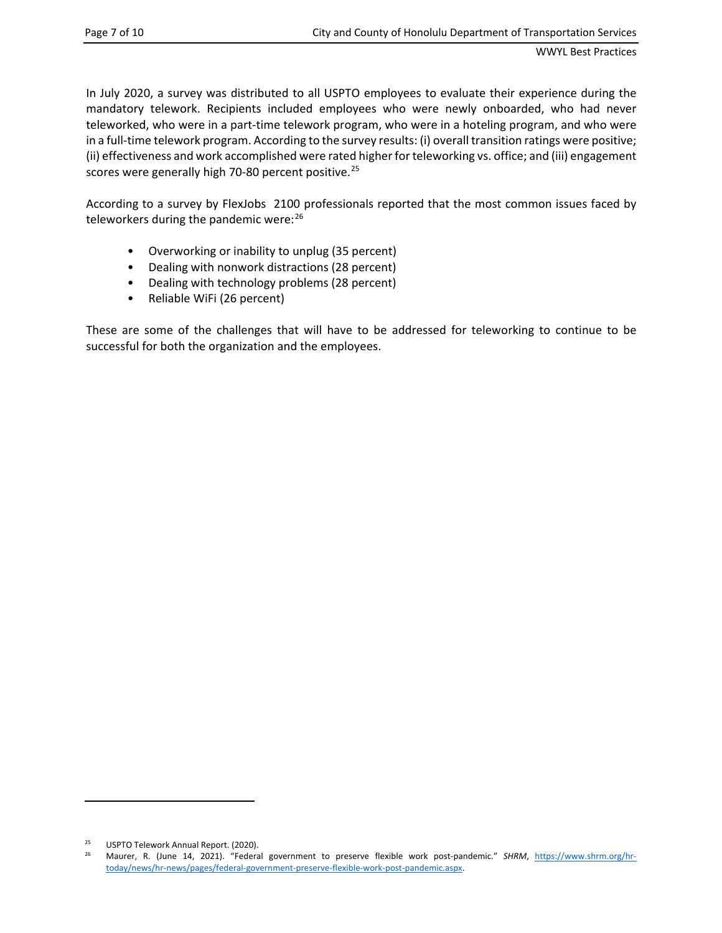In July 2020, a survey was distributed to all USPTO employees to evaluate their experience during the mandatory telework. Recipients included employees who were newly onboarded, who had never teleworked, who were in a part-time telework program, who were in a hoteling program, and who were in a full-time telework program. According to the survey results: (i) overall transition ratings were positive; (ii) effectiveness and work accomplished were rated higher for teleworking vs. office; and (iii) engagement scores were generally high 70-80 percent positive.<sup>[25](#page-10-0)</sup>

According to a survey by FlexJobs 2100 professionals reported that the most common issues faced by teleworkers during the pandemic were: [26](#page-10-1)

- Overworking or inability to unplug (35 percent)
- Dealing with nonwork distractions (28 percent)
- Dealing with technology problems (28 percent)
- Reliable WiFi (26 percent)

These are some of the challenges that will have to be addressed for teleworking to continue to be successful for both the organization and the employees.

<span id="page-10-1"></span><span id="page-10-0"></span><sup>&</sup>lt;sup>25</sup> USPTO Telework Annual Report. (2020).<br><sup>26</sup> Maurer, B. (June, 14, 2021). "Federa

<sup>26</sup> Maurer, R. (June 14, 2021). "Federal government to preserve flexible work post-pandemic." *SHRM*, [https://www.shrm.org/hr](https://www.shrm.org/hr-today/news/hr-news/pages/federal-government-preserve-flexible-work-post-pandemic.aspx)[today/news/hr-news/pages/federal-government-preserve-flexible-work-post-pandemic.aspx.](https://www.shrm.org/hr-today/news/hr-news/pages/federal-government-preserve-flexible-work-post-pandemic.aspx)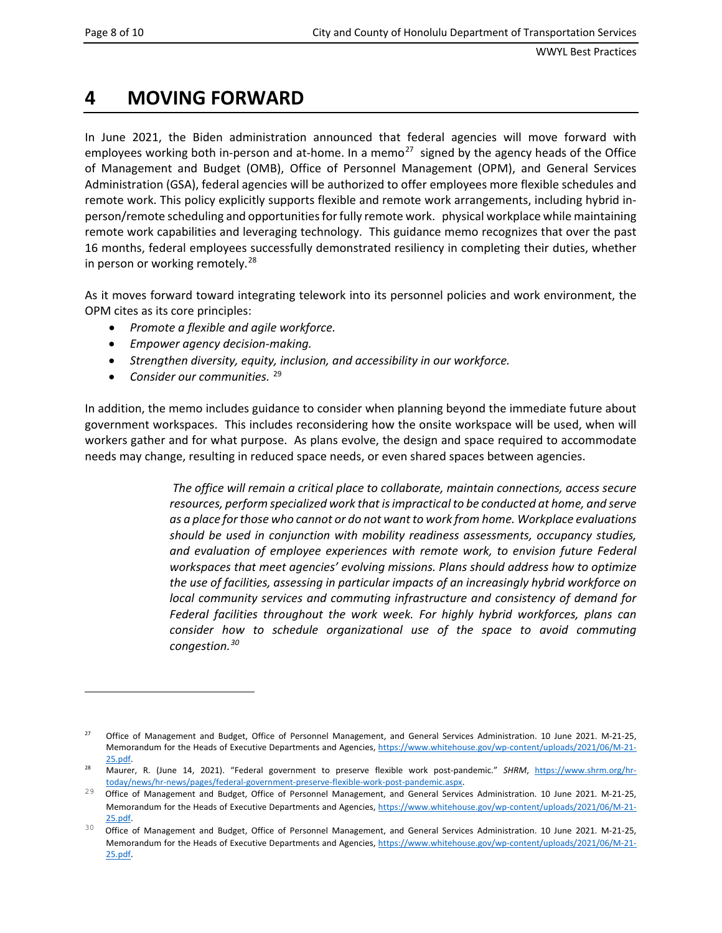### <span id="page-11-0"></span>**4 MOVING FORWARD**

In June 2021, the Biden administration announced that federal agencies will move forward with employees working both in-person and at-home. In a memo<sup>27</sup> signed by the agency heads of the Office of Management and Budget (OMB), Office of Personnel Management (OPM), and General Services Administration (GSA), federal agencies will be authorized to offer employees more flexible schedules and remote work. This policy explicitly supports flexible and remote work arrangements, including hybrid inperson/remote scheduling and opportunities for fully remote work. physical workplace while maintaining remote work capabilities and leveraging technology. This guidance memo recognizes that over the past 16 months, federal employees successfully demonstrated resiliency in completing their duties, whether in person or working remotely.<sup>[28](#page-11-2)</sup>

As it moves forward toward integrating telework into its personnel policies and work environment, the OPM cites as its core principles:

- *Promote a flexible and agile workforce.*
- *Empower agency decision-making.*
- *Strengthen diversity, equity, inclusion, and accessibility in our workforce.*
- *Consider our communities.* [29](#page-11-3)

In addition, the memo includes guidance to consider when planning beyond the immediate future about government workspaces. This includes reconsidering how the onsite workspace will be used, when will workers gather and for what purpose. As plans evolve, the design and space required to accommodate needs may change, resulting in reduced space needs, or even shared spaces between agencies.

> *The office will remain a critical place to collaborate, maintain connections, access secure resources, perform specialized work that is impractical to be conducted at home, and serve as a place for those who cannot or do not want to work from home. Workplace evaluations should be used in conjunction with mobility readiness assessments, occupancy studies, and evaluation of employee experiences with remote work, to envision future Federal workspaces that meet agencies' evolving missions. Plans should address how to optimize the use of facilities, assessing in particular impacts of an increasingly hybrid workforce on local community services and commuting infrastructure and consistency of demand for Federal facilities throughout the work week. For highly hybrid workforces, plans can consider how to schedule organizational use of the space to avoid commuting congestion.[30](#page-11-4)*

<span id="page-11-1"></span><sup>&</sup>lt;sup>27</sup> Office of Management and Budget, Office of Personnel Management, and General Services Administration. 10 June 2021. M-21-25, Memorandum for the Heads of Executive Departments and Agencies, [https://www.whitehouse.gov/wp-content/uploads/2021/06/M-21-](https://www.whitehouse.gov/wp-content/uploads/2021/06/M-21-25.pdf) [25.pdf.](https://www.whitehouse.gov/wp-content/uploads/2021/06/M-21-25.pdf)

<span id="page-11-2"></span><sup>28</sup> Maurer, R. (June 14, 2021). "Federal government to preserve flexible work post-pandemic." *SHRM*, [https://www.shrm.org/hr](https://www.shrm.org/hr-today/news/hr-news/pages/federal-government-preserve-flexible-work-post-pandemic.aspx)[today/news/hr-news/pages/federal-government-preserve-flexible-work-post-pandemic.aspx.](https://www.shrm.org/hr-today/news/hr-news/pages/federal-government-preserve-flexible-work-post-pandemic.aspx)

<span id="page-11-3"></span><sup>&</sup>lt;sup>29</sup> Office of Management and Budget, Office of Personnel Management, and General Services Administration. 10 June 2021. M-21-25, Memorandum for the Heads of Executive Departments and Agencies, [https://www.whitehouse.gov/wp-content/uploads/2021/06/M-21-](https://www.whitehouse.gov/wp-content/uploads/2021/06/M-21-25.pdf) [25.pdf.](https://www.whitehouse.gov/wp-content/uploads/2021/06/M-21-25.pdf)

<span id="page-11-4"></span><sup>&</sup>lt;sup>30</sup> Office of Management and Budget, Office of Personnel Management, and General Services Administration. 10 June 2021. M-21-25, Memorandum for the Heads of Executive Departments and Agencies, [https://www.whitehouse.gov/wp-content/uploads/2021/06/M-21-](https://www.whitehouse.gov/wp-content/uploads/2021/06/M-21-25.pdf) [25.pdf.](https://www.whitehouse.gov/wp-content/uploads/2021/06/M-21-25.pdf)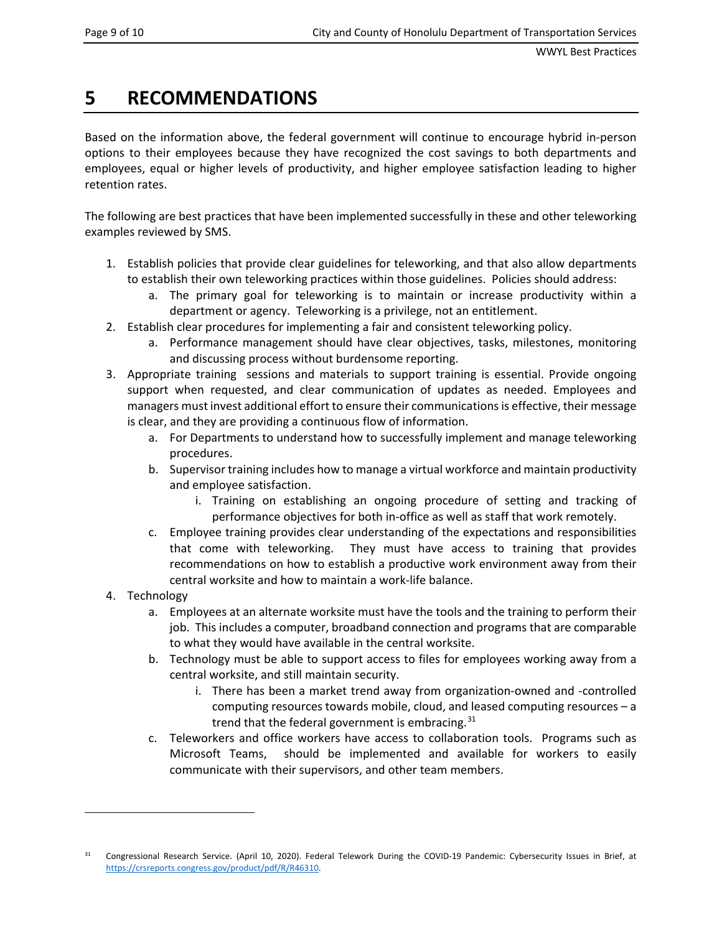# <span id="page-12-0"></span>**5 RECOMMENDATIONS**

Based on the information above, the federal government will continue to encourage hybrid in-person options to their employees because they have recognized the cost savings to both departments and employees, equal or higher levels of productivity, and higher employee satisfaction leading to higher retention rates.

The following are best practices that have been implemented successfully in these and other teleworking examples reviewed by SMS.

- 1. Establish policies that provide clear guidelines for teleworking, and that also allow departments to establish their own teleworking practices within those guidelines. Policies should address:
	- a. The primary goal for teleworking is to maintain or increase productivity within a department or agency. Teleworking is a privilege, not an entitlement.
- 2. Establish clear procedures for implementing a fair and consistent teleworking policy.
	- a. Performance management should have clear objectives, tasks, milestones, monitoring and discussing process without burdensome reporting.
- 3. Appropriate training sessions and materials to support training is essential. Provide ongoing support when requested, and clear communication of updates as needed. Employees and managers must invest additional effort to ensure their communications is effective, their message is clear, and they are providing a continuous flow of information.
	- a. For Departments to understand how to successfully implement and manage teleworking procedures.
	- b. Supervisor training includes how to manage a virtual workforce and maintain productivity and employee satisfaction.
		- i. Training on establishing an ongoing procedure of setting and tracking of performance objectives for both in-office as well as staff that work remotely.
	- c. Employee training provides clear understanding of the expectations and responsibilities that come with teleworking. They must have access to training that provides recommendations on how to establish a productive work environment away from their central worksite and how to maintain a work-life balance.
- 4. Technology
	- a. Employees at an alternate worksite must have the tools and the training to perform their job. This includes a computer, broadband connection and programs that are comparable to what they would have available in the central worksite.
	- b. Technology must be able to support access to files for employees working away from a central worksite, and still maintain security.
		- i. There has been a market trend away from organization-owned and -controlled computing resources towards mobile, cloud, and leased computing resources – a trend that the federal government is embracing.  $31$
	- c. Teleworkers and office workers have access to collaboration tools. Programs such as Microsoft Teams, should be implemented and available for workers to easily communicate with their supervisors, and other team members.

<span id="page-12-1"></span><sup>&</sup>lt;sup>31</sup> Congressional Research Service. (April 10, 2020). Federal Telework During the COVID-19 Pandemic: Cybersecurity Issues in Brief, at [https://crsreports.congress.gov/product/pdf/R/R46310.](https://crsreports.congress.gov/product/pdf/R/R46310)